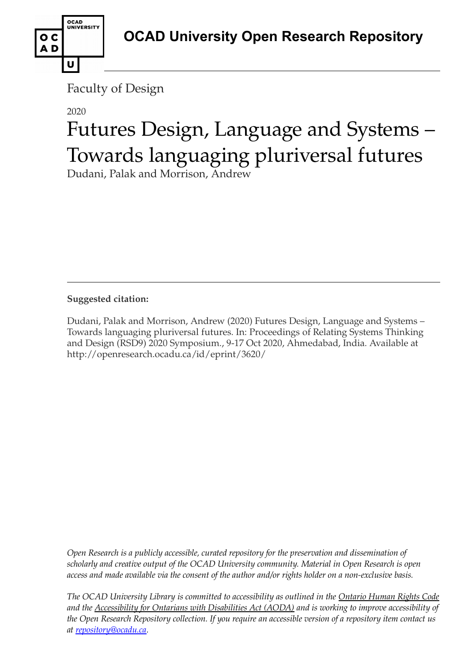

# 2020

U

OCAD<br>UNIVERSITY

o c AD

# Futures Design, Language and Systems – Towards languaging pluriversal futures

Dudani, Palak and Morrison, Andrew

**Suggested citation:** 

Dudani, Palak and Morrison, Andrew (2020) Futures Design, Language and Systems – Towards languaging pluriversal futures. In: Proceedings of Relating Systems Thinking and Design (RSD9) 2020 Symposium., 9-17 Oct 2020, Ahmedabad, India. Available at http://openresearch.ocadu.ca/id/eprint/3620/

*Open Research is a publicly accessible, curated repository for the preservation and dissemination of scholarly and creative output of the OCAD University community. Material in Open Research is open access and made available via the consent of the author and/or rights holder on a non-exclusive basis.* 

*The OCAD University Library is committed to accessibility as outlined in the Ontario Human Rights Code and the Accessibility for Ontarians with Disabilities Act (AODA) and is working to improve accessibility of the Open Research Repository collection. If you require an accessible version of a repository item contact us at [repository@ocadu.ca.](mailto:repository@ocadu.ca)*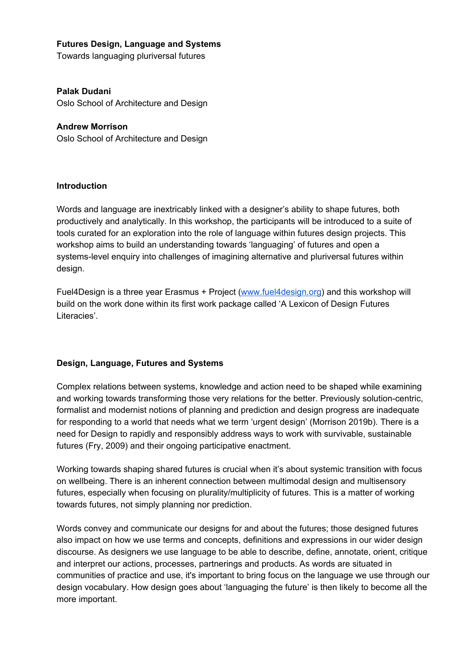### **Futures Design, Language and Systems**

Towards languaging pluriversal futures

**Palak Dudani** Oslo School of Architecture and Design

**Andrew Morrison** Oslo School of Architecture and Design

#### **Introduction**

Words and language are inextricably linked with a designer's ability to shape futures, both productively and analytically. In this workshop, the participants will be introduced to a suite of tools curated for an exploration into the role of language within futures design projects. This workshop aims to build an understanding towards 'languaging' of futures and open a systems-level enquiry into challenges of imagining alternative and pluriversal futures within design.

Fuel4Design is a three year Erasmus + Project [\(www.fuel4design.org](http://www.fuel4design.org/)) and this workshop will build on the work done within its first work package called 'A Lexicon of Design Futures Literacies'.

## **Design, Language, Futures and Systems**

Complex relations between systems, knowledge and action need to be shaped while examining and working towards transforming those very relations for the better. Previously solution-centric, formalist and modernist notions of planning and prediction and design progress are inadequate for responding to a world that needs what we term 'urgent design' (Morrison 2019b). There is a need for Design to rapidly and responsibly address ways to work with survivable, sustainable futures (Fry, 2009) and their ongoing participative enactment.

Working towards shaping shared futures is crucial when it's about systemic transition with focus on wellbeing. There is an inherent connection between multimodal design and multisensory futures, especially when focusing on plurality/multiplicity of futures. This is a matter of working towards futures, not simply planning nor prediction.

Words convey and communicate our designs for and about the futures; those designed futures also impact on how we use terms and concepts, definitions and expressions in our wider design discourse. As designers we use language to be able to describe, define, annotate, orient, critique and interpret our actions, processes, partnerings and products. As words are situated in communities of practice and use, it's important to bring focus on the language we use through our design vocabulary. How design goes about 'languaging the future' is then likely to become all the more important.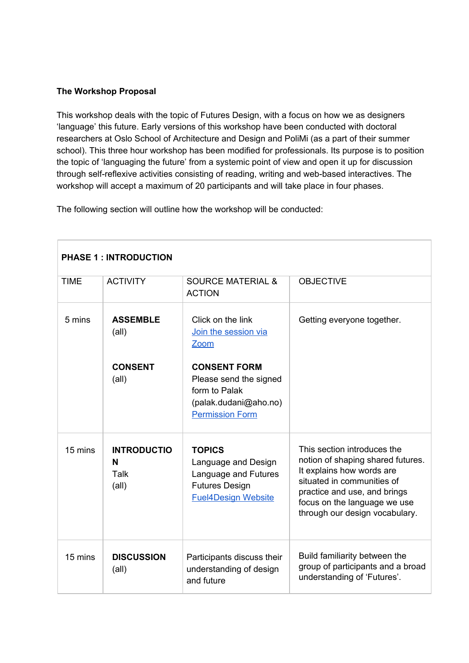## **The Workshop Proposal**

This workshop deals with the topic of Futures Design, with a focus on how we as designers 'language' this future. Early versions of this workshop have been conducted with doctoral researchers at Oslo School of Architecture and Design and PoliMi (as a part of their summer school). This three hour workshop has been modified for professionals. Its purpose is to position the topic of 'languaging the future' from a systemic point of view and open it up for discussion through self-reflexive activities consisting of reading, writing and web-based interactives. The workshop will accept a maximum of 20 participants and will take place in four phases.

The following section will outline how the workshop will be conducted:

| <b>PHASE 1: INTRODUCTION</b> |                                                   |                                                                                                                     |                                                                                                                                                                                                                               |  |  |
|------------------------------|---------------------------------------------------|---------------------------------------------------------------------------------------------------------------------|-------------------------------------------------------------------------------------------------------------------------------------------------------------------------------------------------------------------------------|--|--|
| <b>TIME</b>                  | <b>ACTIVITY</b>                                   | <b>SOURCE MATERIAL &amp;</b><br><b>ACTION</b>                                                                       | <b>OBJECTIVE</b>                                                                                                                                                                                                              |  |  |
| 5 mins                       | <b>ASSEMBLE</b><br>$(\text{all})$                 | Click on the link<br>Join the session via<br>Zoom                                                                   | Getting everyone together.                                                                                                                                                                                                    |  |  |
|                              | <b>CONSENT</b><br>$(\text{all})$                  | <b>CONSENT FORM</b><br>Please send the signed<br>form to Palak<br>(palak.dudani@aho.no)<br><b>Permission Form</b>   |                                                                                                                                                                                                                               |  |  |
| 15 mins                      | <b>INTRODUCTIO</b><br>N<br>Talk<br>$(\text{all})$ | <b>TOPICS</b><br>Language and Design<br>Language and Futures<br><b>Futures Design</b><br><b>Fuel4Design Website</b> | This section introduces the<br>notion of shaping shared futures.<br>It explains how words are<br>situated in communities of<br>practice and use, and brings<br>focus on the language we use<br>through our design vocabulary. |  |  |
| 15 mins                      | <b>DISCUSSION</b><br>$(\text{all})$               | Participants discuss their<br>understanding of design<br>and future                                                 | Build familiarity between the<br>group of participants and a broad<br>understanding of 'Futures'.                                                                                                                             |  |  |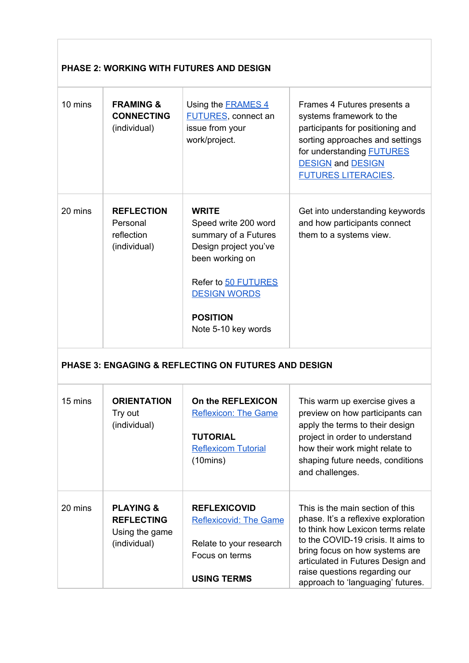# **PHASE 2: WORKING WITH FUTURES AND DESIGN**

| 10 mins | <b>FRAMING &amp;</b><br><b>CONNECTING</b><br>(individual)                   | Using the <b>FRAMES 4</b><br><b>FUTURES, connect an</b><br>issue from your<br>work/project.                                                                                                      | Frames 4 Futures presents a<br>systems framework to the<br>participants for positioning and<br>sorting approaches and settings<br>for understanding <b>FUTURES</b><br><b>DESIGN and DESIGN</b><br><b>FUTURES LITERACIES</b>                                                                     |
|---------|-----------------------------------------------------------------------------|--------------------------------------------------------------------------------------------------------------------------------------------------------------------------------------------------|-------------------------------------------------------------------------------------------------------------------------------------------------------------------------------------------------------------------------------------------------------------------------------------------------|
| 20 mins | <b>REFLECTION</b><br>Personal<br>reflection<br>(individual)                 | <b>WRITE</b><br>Speed write 200 word<br>summary of a Futures<br>Design project you've<br>been working on<br>Refer to 50 FUTURES<br><b>DESIGN WORDS</b><br><b>POSITION</b><br>Note 5-10 key words | Get into understanding keywords<br>and how participants connect<br>them to a systems view.                                                                                                                                                                                                      |
|         |                                                                             | <b>PHASE 3: ENGAGING &amp; REFLECTING ON FUTURES AND DESIGN</b>                                                                                                                                  |                                                                                                                                                                                                                                                                                                 |
| 15 mins | <b>ORIENTATION</b><br>Try out<br>(individual)                               | On the REFLEXICON<br><b>Reflexicon: The Game</b><br><b>TUTORIAL</b><br><b>Reflexicom Tutorial</b><br>$(10 \text{mins})$                                                                          | This warm up exercise gives a<br>preview on how participants can<br>apply the terms to their design<br>project in order to understand<br>how their work might relate to<br>shaping future needs, conditions<br>and challenges.                                                                  |
| 20 mins | <b>PLAYING &amp;</b><br><b>REFLECTING</b><br>Using the game<br>(individual) | <b>REFLEXICOVID</b><br><b>Reflexicovid: The Game</b><br>Relate to your research<br>Focus on terms<br><b>USING TERMS</b>                                                                          | This is the main section of this<br>phase. It's a reflexive exploration<br>to think how Lexicon terms relate<br>to the COVID-19 crisis. It aims to<br>bring focus on how systems are<br>articulated in Futures Design and<br>raise questions regarding our<br>approach to 'languaging' futures. |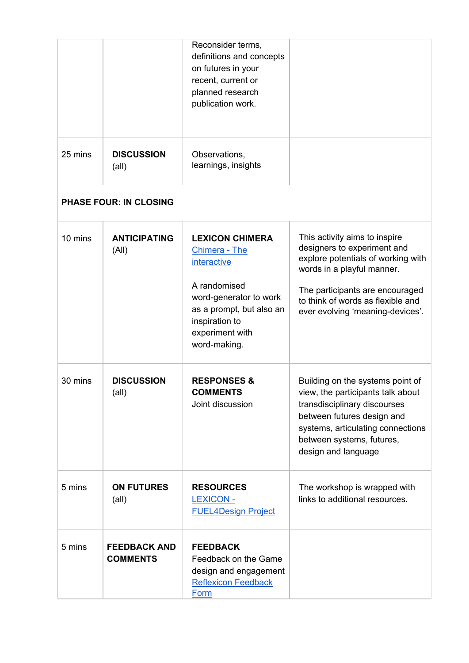|         |                                        | Reconsider terms,<br>definitions and concepts<br>on futures in your<br>recent, current or<br>planned research<br>publication work.                                                              |                                                                                                                                                                                                                                              |
|---------|----------------------------------------|-------------------------------------------------------------------------------------------------------------------------------------------------------------------------------------------------|----------------------------------------------------------------------------------------------------------------------------------------------------------------------------------------------------------------------------------------------|
| 25 mins | <b>DISCUSSION</b><br>$(\text{all})$    | Observations,<br>learnings, insights                                                                                                                                                            |                                                                                                                                                                                                                                              |
|         | <b>PHASE FOUR: IN CLOSING</b>          |                                                                                                                                                                                                 |                                                                                                                                                                                                                                              |
| 10 mins | <b>ANTICIPATING</b><br>(A  )           | <b>LEXICON CHIMERA</b><br><b>Chimera - The</b><br><i>interactive</i><br>A randomised<br>word-generator to work<br>as a prompt, but also an<br>inspiration to<br>experiment with<br>word-making. | This activity aims to inspire<br>designers to experiment and<br>explore potentials of working with<br>words in a playful manner.<br>The participants are encouraged<br>to think of words as flexible and<br>ever evolving 'meaning-devices'. |
| 30 mins | <b>DISCUSSION</b><br>(all)             | <b>RESPONSES &amp;</b><br><b>COMMENTS</b><br>Joint discussion                                                                                                                                   | Building on the systems point of<br>view, the participants talk about<br>transdisciplinary discourses<br>between futures design and<br>systems, articulating connections<br>between systems, futures,<br>design and language                 |
| 5 mins  | <b>ON FUTURES</b><br>$(\text{all})$    | <b>RESOURCES</b><br><b>LEXICON -</b><br><b>FUEL4Design Project</b>                                                                                                                              | The workshop is wrapped with<br>links to additional resources.                                                                                                                                                                               |
| 5 mins  | <b>FEEDBACK AND</b><br><b>COMMENTS</b> | <b>FEEDBACK</b><br>Feedback on the Game<br>design and engagement<br><b>Reflexicon Feedback</b><br><b>Form</b>                                                                                   |                                                                                                                                                                                                                                              |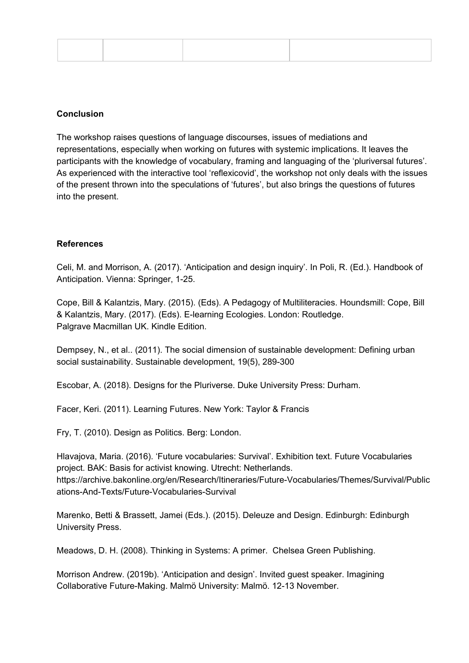#### **Conclusion**

The workshop raises questions of language discourses, issues of mediations and representations, especially when working on futures with systemic implications. It leaves the participants with the knowledge of vocabulary, framing and languaging of the 'pluriversal futures'. As experienced with the interactive tool 'reflexicovid', the workshop not only deals with the issues of the present thrown into the speculations of 'futures', but also brings the questions of futures into the present.

### **References**

Celi, M. and Morrison, A. (2017). 'Anticipation and design inquiry'. In Poli, R. (Ed.). Handbook of Anticipation. Vienna: Springer, 1-25.

Cope, Bill & Kalantzis, Mary. (2015). (Eds). A Pedagogy of Multiliteracies. Houndsmill: Cope, Bill & Kalantzis, Mary. (2017). (Eds). E-learning Ecologies. London: Routledge. Palgrave Macmillan UK. Kindle Edition.

Dempsey, N., et al.. (2011). The social dimension of sustainable development: Defining urban social sustainability. Sustainable development, 19(5), 289-300

Escobar, A. (2018). Designs for the Pluriverse. Duke University Press: Durham.

Facer, Keri. (2011). Learning Futures. New York: Taylor & Francis

Fry, T. (2010). Design as Politics. Berg: London.

Hlavajova, Maria. (2016). 'Future vocabularies: Survival'. Exhibition text. Future Vocabularies project. BAK: Basis for activist knowing. Utrecht: Netherlands. https://archive.bakonline.org/en/Research/Itineraries/Future-Vocabularies/Themes/Survival/Public ations-And-Texts/Future-Vocabularies-Survival

Marenko, Betti & Brassett, Jamei (Eds.). (2015). Deleuze and Design. Edinburgh: Edinburgh University Press.

Meadows, D. H. (2008). Thinking in Systems: A primer. Chelsea Green Publishing.

Morrison Andrew. (2019b). 'Anticipation and design'. Invited guest speaker. Imagining Collaborative Future-Making. Malmö University: Malmö. 12-13 November.